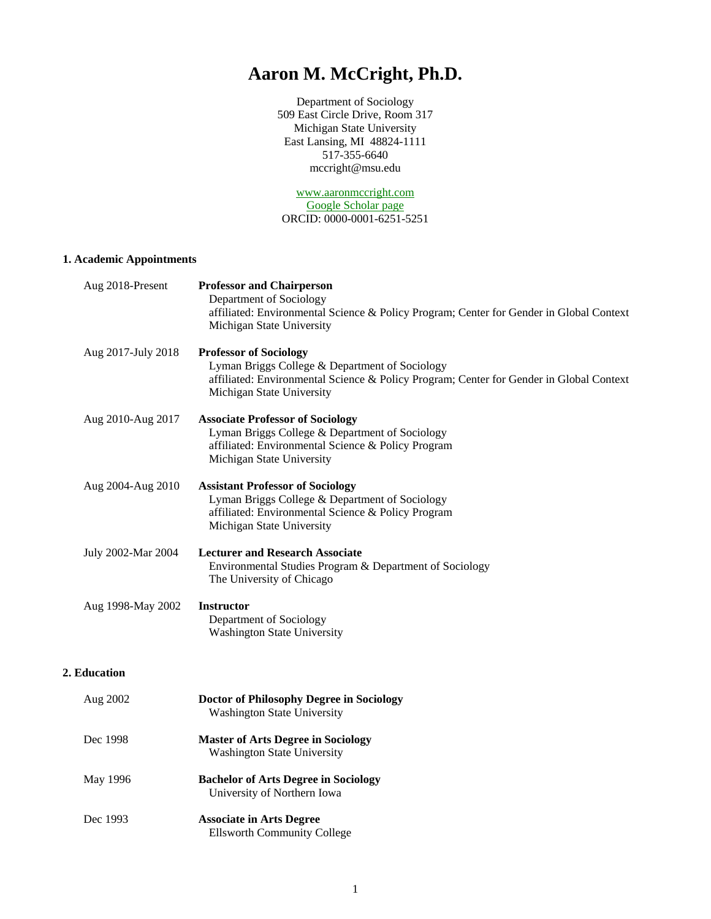# **Aaron M. McCright, Ph.D.**

Department of Sociology 509 East Circle Drive, Room 317 Michigan State University East Lansing, MI 48824-1111 517-355-6640 mccright@msu.edu

[www.aaronmccright.com](http://www.aaronmccright.com/) [Google Scholar page](http://scholar.google.com/citations?user=rbHppiAAAAAJ&hl=en) ORCID: 0000-0001-6251-5251

# **1. Academic Appointments**

| Aug 2018-Present   | <b>Professor and Chairperson</b><br>Department of Sociology<br>affiliated: Environmental Science & Policy Program; Center for Gender in Global Context<br>Michigan State University                     |  |  |
|--------------------|---------------------------------------------------------------------------------------------------------------------------------------------------------------------------------------------------------|--|--|
| Aug 2017-July 2018 | <b>Professor of Sociology</b><br>Lyman Briggs College & Department of Sociology<br>affiliated: Environmental Science & Policy Program; Center for Gender in Global Context<br>Michigan State University |  |  |
| Aug 2010-Aug 2017  | <b>Associate Professor of Sociology</b><br>Lyman Briggs College & Department of Sociology<br>affiliated: Environmental Science & Policy Program<br>Michigan State University                            |  |  |
| Aug 2004-Aug 2010  | <b>Assistant Professor of Sociology</b><br>Lyman Briggs College & Department of Sociology<br>affiliated: Environmental Science & Policy Program<br>Michigan State University                            |  |  |
| July 2002-Mar 2004 | <b>Lecturer and Research Associate</b><br>Environmental Studies Program & Department of Sociology<br>The University of Chicago                                                                          |  |  |
| Aug 1998-May 2002  | <b>Instructor</b><br>Department of Sociology<br><b>Washington State University</b>                                                                                                                      |  |  |
| 2. Education       |                                                                                                                                                                                                         |  |  |
| Aug 2002           | Doctor of Philosophy Degree in Sociology<br><b>Washington State University</b>                                                                                                                          |  |  |
| Dec 1998           | <b>Master of Arts Degree in Sociology</b><br><b>Washington State University</b>                                                                                                                         |  |  |
| May 1996           | <b>Bachelor of Arts Degree in Sociology</b><br>University of Northern Iowa                                                                                                                              |  |  |
| Dec 1993           | <b>Associate in Arts Degree</b><br><b>Ellsworth Community College</b>                                                                                                                                   |  |  |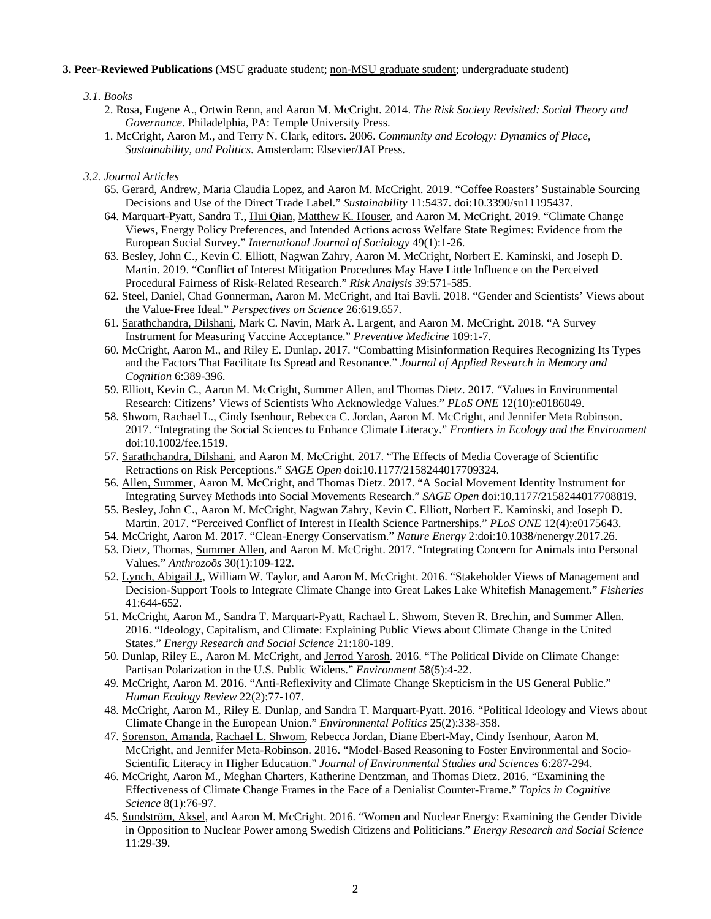# **3. Peer-Reviewed Publications** (MSU graduate student; non-MSU graduate student; undergraduate student)

# *3.1. Books*

- 2. Rosa, Eugene A., Ortwin Renn, and Aaron M. McCright. 2014. *The Risk Society Revisited: Social Theory and Governance*. Philadelphia, PA: Temple University Press.
- 1. McCright, Aaron M., and Terry N. Clark, editors. 2006. *Community and Ecology: Dynamics of Place, Sustainability, and Politics*. Amsterdam: Elsevier/JAI Press.

## *3.2. Journal Articles*

- 65. Gerard, Andrew, Maria Claudia Lopez, and Aaron M. McCright. 2019. "Coffee Roasters' Sustainable Sourcing Decisions and Use of the Direct Trade Label." *Sustainability* 11:5437. doi:10.3390/su11195437.
- 64. Marquart-Pyatt, Sandra T., Hui Qian, Matthew K. Houser, and Aaron M. McCright. 2019. "Climate Change Views, Energy Policy Preferences, and Intended Actions across Welfare State Regimes: Evidence from the European Social Survey." *International Journal of Sociology* 49(1):1-26.
- 63. Besley, John C., Kevin C. Elliott, Nagwan Zahry, Aaron M. McCright, Norbert E. Kaminski, and Joseph D. Martin. 2019. "Conflict of Interest Mitigation Procedures May Have Little Influence on the Perceived Procedural Fairness of Risk-Related Research." *Risk Analysis* 39:571-585.
- 62. Steel, Daniel, Chad Gonnerman, Aaron M. McCright, and Itai Bavli. 2018. "Gender and Scientists' Views about the Value-Free Ideal." *Perspectives on Science* 26:619.657.
- 61. Sarathchandra, Dilshani, Mark C. Navin, Mark A. Largent, and Aaron M. McCright. 2018. "A Survey Instrument for Measuring Vaccine Acceptance." *Preventive Medicine* 109:1-7.
- 60. McCright, Aaron M., and Riley E. Dunlap. 2017. "Combatting Misinformation Requires Recognizing Its Types and the Factors That Facilitate Its Spread and Resonance." *Journal of Applied Research in Memory and Cognition* 6:389-396.
- 59. Elliott, Kevin C., Aaron M. McCright, Summer Allen, and Thomas Dietz. 2017. "Values in Environmental Research: Citizens' Views of Scientists Who Acknowledge Values." *PLoS ONE* 12(10):e0186049.
- 58. Shwom, Rachael L., Cindy Isenhour, Rebecca C. Jordan, Aaron M. McCright, and Jennifer Meta Robinson. 2017. "Integrating the Social Sciences to Enhance Climate Literacy." *Frontiers in Ecology and the Environment* doi:10.1002/fee.1519.
- 57. Sarathchandra, Dilshani, and Aaron M. McCright. 2017. "The Effects of Media Coverage of Scientific Retractions on Risk Perceptions." *SAGE Open* doi:10.1177/2158244017709324.
- 56. Allen, Summer, Aaron M. McCright, and Thomas Dietz. 2017. "A Social Movement Identity Instrument for Integrating Survey Methods into Social Movements Research." *SAGE Open* doi:10.1177/2158244017708819.
- 55. Besley, John C., Aaron M. McCright, Nagwan Zahry, Kevin C. Elliott, Norbert E. Kaminski, and Joseph D. Martin. 2017. "Perceived Conflict of Interest in Health Science Partnerships." *PLoS ONE* 12(4):e0175643.
- 54. McCright, Aaron M. 2017. "Clean-Energy Conservatism." *Nature Energy* 2:doi:10.1038/nenergy.2017.26.
- 53. Dietz, Thomas, Summer Allen, and Aaron M. McCright. 2017. "Integrating Concern for Animals into Personal Values." *Anthrozoös* 30(1):109-122.
- 52. Lynch, Abigail J., William W. Taylor, and Aaron M. McCright. 2016. "Stakeholder Views of Management and Decision-Support Tools to Integrate Climate Change into Great Lakes Lake Whitefish Management." *Fisheries* 41:644-652.
- 51. McCright, Aaron M., Sandra T. Marquart-Pyatt, Rachael L. Shwom, Steven R. Brechin, and Summer Allen. 2016. "Ideology, Capitalism, and Climate: Explaining Public Views about Climate Change in the United States." *Energy Research and Social Science* 21:180-189.
- 50. Dunlap, Riley E., Aaron M. McCright, and Jerrod Yarosh. 2016. "The Political Divide on Climate Change: Partisan Polarization in the U.S. Public Widens." *Environment* 58(5):4-22.
- 49. McCright, Aaron M. 2016. "Anti-Reflexivity and Climate Change Skepticism in the US General Public." *Human Ecology Review* 22(2):77-107.
- 48. McCright, Aaron M., Riley E. Dunlap, and Sandra T. Marquart-Pyatt. 2016. "Political Ideology and Views about Climate Change in the European Union." *Environmental Politics* 25(2):338-358.
- 47. Sorenson, Amanda, Rachael L. Shwom, Rebecca Jordan, Diane Ebert-May, Cindy Isenhour, Aaron M. McCright, and Jennifer Meta-Robinson. 2016. "Model-Based Reasoning to Foster Environmental and Socio-Scientific Literacy in Higher Education." *Journal of Environmental Studies and Sciences* 6:287-294.
- 46. McCright, Aaron M., Meghan Charters, Katherine Dentzman, and Thomas Dietz. 2016. "Examining the Effectiveness of Climate Change Frames in the Face of a Denialist Counter-Frame." *Topics in Cognitive Science* 8(1):76-97.
- 45. Sundström, Aksel, and Aaron M. McCright. 2016. "Women and Nuclear Energy: Examining the Gender Divide in Opposition to Nuclear Power among Swedish Citizens and Politicians." *Energy Research and Social Science* 11:29-39.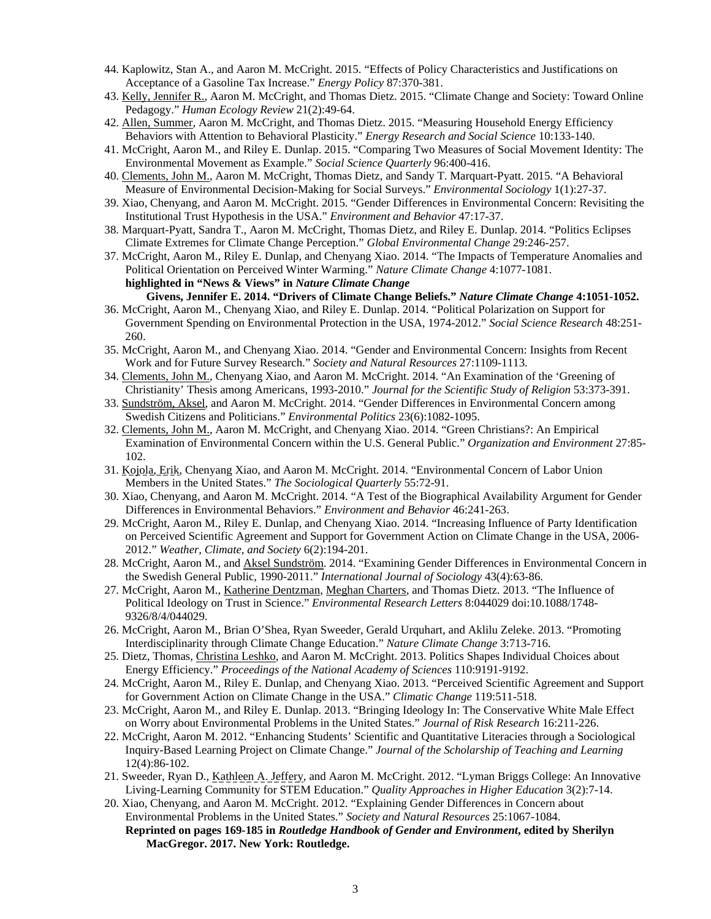- 44. Kaplowitz, Stan A., and Aaron M. McCright. 2015. "Effects of Policy Characteristics and Justifications on Acceptance of a Gasoline Tax Increase." *Energy Policy* 87:370-381.
- 43. Kelly, Jennifer R., Aaron M. McCright, and Thomas Dietz. 2015. "Climate Change and Society: Toward Online Pedagogy." *Human Ecology Review* 21(2):49-64.
- 42. Allen, Summer, Aaron M. McCright, and Thomas Dietz. 2015. "Measuring Household Energy Efficiency Behaviors with Attention to Behavioral Plasticity." *Energy Research and Social Science* 10:133-140.
- 41. McCright, Aaron M., and Riley E. Dunlap. 2015. "Comparing Two Measures of Social Movement Identity: The Environmental Movement as Example." *Social Science Quarterly* 96:400-416.
- 40. Clements, John M., Aaron M. McCright, Thomas Dietz, and Sandy T. Marquart-Pyatt. 2015. "A Behavioral Measure of Environmental Decision-Making for Social Surveys." *Environmental Sociology* 1(1):27-37.
- 39. Xiao, Chenyang, and Aaron M. McCright. 2015. "Gender Differences in Environmental Concern: Revisiting the Institutional Trust Hypothesis in the USA." *Environment and Behavior* 47:17-37.
- 38. Marquart-Pyatt, Sandra T., Aaron M. McCright, Thomas Dietz, and Riley E. Dunlap. 2014. "Politics Eclipses Climate Extremes for Climate Change Perception." *Global Environmental Change* 29:246-257.
- 37. McCright, Aaron M., Riley E. Dunlap, and Chenyang Xiao. 2014. "The Impacts of Temperature Anomalies and Political Orientation on Perceived Winter Warming." *Nature Climate Change* 4:1077-1081. **highlighted in "News & Views" in** *Nature Climate Change* **Givens, Jennifer E. 2014. "Drivers of Climate Change Beliefs."** *Nature Climate Change* **4:1051-1052.**
- 36. McCright, Aaron M., Chenyang Xiao, and Riley E. Dunlap. 2014. "Political Polarization on Support for Government Spending on Environmental Protection in the USA, 1974-2012." *Social Science Research* 48:251- 260.
- 35. McCright, Aaron M., and Chenyang Xiao. 2014. "Gender and Environmental Concern: Insights from Recent Work and for Future Survey Research." *Society and Natural Resources* 27:1109-1113.
- 34. Clements, John M., Chenyang Xiao, and Aaron M. McCright. 2014. "An Examination of the 'Greening of Christianity' Thesis among Americans, 1993-2010." *Journal for the Scientific Study of Religion* 53:373-391.
- 33. Sundström, Aksel, and Aaron M. McCright. 2014. "Gender Differences in Environmental Concern among Swedish Citizens and Politicians." *Environmental Politics* 23(6):1082-1095.
- 32. Clements, John M., Aaron M. McCright, and Chenyang Xiao. 2014. "Green Christians?: An Empirical Examination of Environmental Concern within the U.S. General Public." *Organization and Environment* 27:85- 102.
- 31. Kojola, Erik, Chenyang Xiao, and Aaron M. McCright. 2014. "Environmental Concern of Labor Union Members in the United States." *The Sociological Quarterly* 55:72-91.
- 30. Xiao, Chenyang, and Aaron M. McCright. 2014. "A Test of the Biographical Availability Argument for Gender Differences in Environmental Behaviors." *Environment and Behavior* 46:241-263.
- 29. McCright, Aaron M., Riley E. Dunlap, and Chenyang Xiao. 2014. "Increasing Influence of Party Identification on Perceived Scientific Agreement and Support for Government Action on Climate Change in the USA, 2006- 2012." *Weather, Climate, and Society* 6(2):194-201.
- 28. McCright, Aaron M., and Aksel Sundström. 2014. "Examining Gender Differences in Environmental Concern in the Swedish General Public, 1990-2011." *International Journal of Sociology* 43(4):63-86.
- 27. McCright, Aaron M., Katherine Dentzman, Meghan Charters, and Thomas Dietz. 2013. "The Influence of Political Ideology on Trust in Science." *Environmental Research Letters* 8:044029 doi:10.1088/1748- 9326/8/4/044029.
- 26. McCright, Aaron M., Brian O'Shea, Ryan Sweeder, Gerald Urquhart, and Aklilu Zeleke. 2013. "Promoting Interdisciplinarity through Climate Change Education." *Nature Climate Change* 3:713-716.
- 25. Dietz, Thomas, Christina Leshko, and Aaron M. McCright. 2013. Politics Shapes Individual Choices about Energy Efficiency." *Proceedings of the National Academy of Sciences* 110:9191-9192.
- 24. McCright, Aaron M., Riley E. Dunlap, and Chenyang Xiao. 2013. "Perceived Scientific Agreement and Support for Government Action on Climate Change in the USA." *Climatic Change* 119:511-518.
- 23. McCright, Aaron M., and Riley E. Dunlap. 2013. "Bringing Ideology In: The Conservative White Male Effect on Worry about Environmental Problems in the United States." *Journal of Risk Research* 16:211-226.
- 22. McCright, Aaron M. 2012. "Enhancing Students' Scientific and Quantitative Literacies through a Sociological Inquiry-Based Learning Project on Climate Change." *Journal of the Scholarship of Teaching and Learning* 12(4):86-102.
- 21. Sweeder, Ryan D., Kathleen A. Jeffery, and Aaron M. McCright. 2012. "Lyman Briggs College: An Innovative Living-Learning Community for STEM Education." *Quality Approaches in Higher Education* 3(2):7-14.
- 20. Xiao, Chenyang, and Aaron M. McCright. 2012. "Explaining Gender Differences in Concern about Environmental Problems in the United States." *Society and Natural Resources* 25:1067-1084. **Reprinted on pages 169-185 in** *Routledge Handbook of Gender and Environment***, edited by Sherilyn MacGregor. 2017. New York: Routledge.**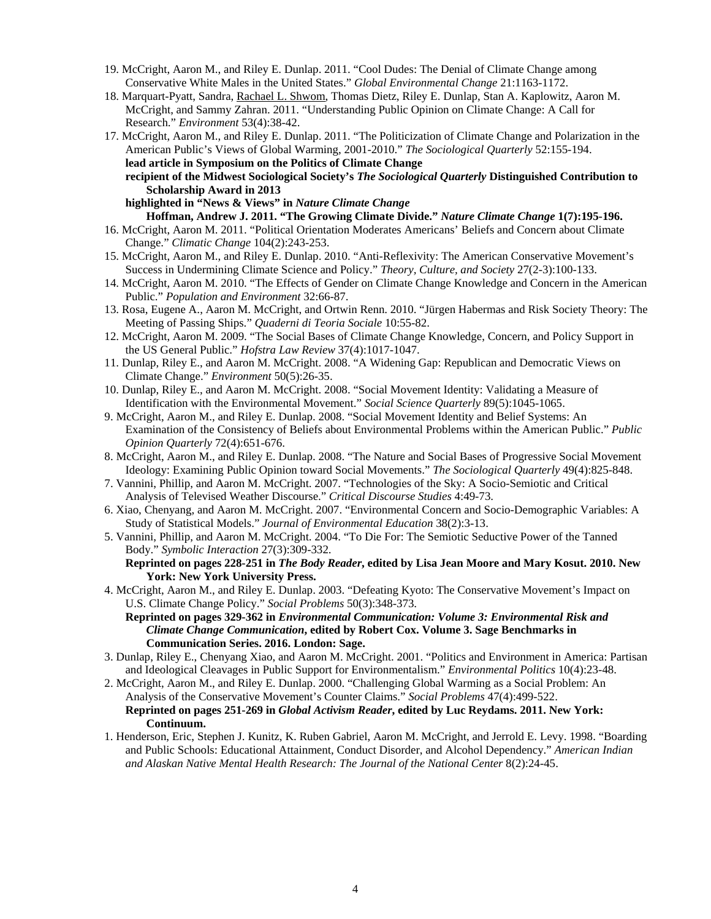- 19. McCright, Aaron M., and Riley E. Dunlap. 2011. "Cool Dudes: The Denial of Climate Change among Conservative White Males in the United States." *Global Environmental Change* 21:1163-1172.
- 18. Marquart-Pyatt, Sandra, Rachael L. Shwom, Thomas Dietz, Riley E. Dunlap, Stan A. Kaplowitz, Aaron M. McCright, and Sammy Zahran. 2011. "Understanding Public Opinion on Climate Change: A Call for Research." *Environment* 53(4):38-42.
- 17. McCright, Aaron M., and Riley E. Dunlap. 2011. "The Politicization of Climate Change and Polarization in the American Public's Views of Global Warming, 2001-2010." *The Sociological Quarterly* 52:155-194. **lead article in Symposium on the Politics of Climate Change**
	- **recipient of the Midwest Sociological Society's** *The Sociological Quarterly* **Distinguished Contribution to Scholarship Award in 2013**
	- **highlighted in "News & Views" in** *Nature Climate Change* **Hoffman, Andrew J. 2011. "The Growing Climate Divide."** *Nature Climate Change* **1(7):195-196.**
- 16. McCright, Aaron M. 2011. "Political Orientation Moderates Americans' Beliefs and Concern about Climate Change." *Climatic Change* 104(2):243-253.
- 15. McCright, Aaron M., and Riley E. Dunlap. 2010. "Anti-Reflexivity: The American Conservative Movement's Success in Undermining Climate Science and Policy." *Theory, Culture, and Society* 27(2-3):100-133.
- 14. McCright, Aaron M. 2010. "The Effects of Gender on Climate Change Knowledge and Concern in the American Public." *Population and Environment* 32:66-87.
- 13. Rosa, Eugene A., Aaron M. McCright, and Ortwin Renn. 2010. "Jürgen Habermas and Risk Society Theory: The Meeting of Passing Ships." *Quaderni di Teoria Sociale* 10:55-82.
- 12. McCright, Aaron M. 2009. "The Social Bases of Climate Change Knowledge, Concern, and Policy Support in the US General Public." *Hofstra Law Review* 37(4):1017-1047.
- 11. Dunlap, Riley E., and Aaron M. McCright. 2008. "A Widening Gap: Republican and Democratic Views on Climate Change." *Environment* 50(5):26-35.
- 10. Dunlap, Riley E., and Aaron M. McCright. 2008. "Social Movement Identity: Validating a Measure of Identification with the Environmental Movement." *Social Science Quarterly* 89(5):1045-1065.
- 9. McCright, Aaron M., and Riley E. Dunlap. 2008. "Social Movement Identity and Belief Systems: An Examination of the Consistency of Beliefs about Environmental Problems within the American Public." *Public Opinion Quarterly* 72(4):651-676.
- 8. McCright, Aaron M., and Riley E. Dunlap. 2008. "The Nature and Social Bases of Progressive Social Movement Ideology: Examining Public Opinion toward Social Movements." *The Sociological Quarterly* 49(4):825-848.
- 7. Vannini, Phillip, and Aaron M. McCright. 2007. "Technologies of the Sky: A Socio-Semiotic and Critical Analysis of Televised Weather Discourse." *Critical Discourse Studies* 4:49-73.
- 6. Xiao, Chenyang, and Aaron M. McCright. 2007. "Environmental Concern and Socio-Demographic Variables: A Study of Statistical Models." *Journal of Environmental Education* 38(2):3-13.
- 5. Vannini, Phillip, and Aaron M. McCright. 2004. "To Die For: The Semiotic Seductive Power of the Tanned Body." *Symbolic Interaction* 27(3):309-332.

## **Reprinted on pages 228-251 in** *The Body Reader***, edited by Lisa Jean Moore and Mary Kosut. 2010. New York: New York University Press.**

- 4. McCright, Aaron M., and Riley E. Dunlap. 2003. "Defeating Kyoto: The Conservative Movement's Impact on U.S. Climate Change Policy." *Social Problems* 50(3):348-373.
	- **Reprinted on pages 329-362 in** *Environmental Communication: Volume 3: Environmental Risk and Climate Change Communication***, edited by Robert Cox. Volume 3. Sage Benchmarks in Communication Series. 2016. London: Sage.**
- 3. Dunlap, Riley E., Chenyang Xiao, and Aaron M. McCright. 2001. "Politics and Environment in America: Partisan and Ideological Cleavages in Public Support for Environmentalism." *Environmental Politics* 10(4):23-48.
- 2. McCright, Aaron M., and Riley E. Dunlap. 2000. "Challenging Global Warming as a Social Problem: An Analysis of the Conservative Movement's Counter Claims." *Social Problems* 47(4):499-522. **Reprinted on pages 251-269 in** *Global Activism Reader***, edited by Luc Reydams. 2011. New York: Continuum.**
- 1. Henderson, Eric, Stephen J. Kunitz, K. Ruben Gabriel, Aaron M. McCright, and Jerrold E. Levy. 1998. "Boarding and Public Schools: Educational Attainment, Conduct Disorder, and Alcohol Dependency." *American Indian and Alaskan Native Mental Health Research: The Journal of the National Center* 8(2):24-45.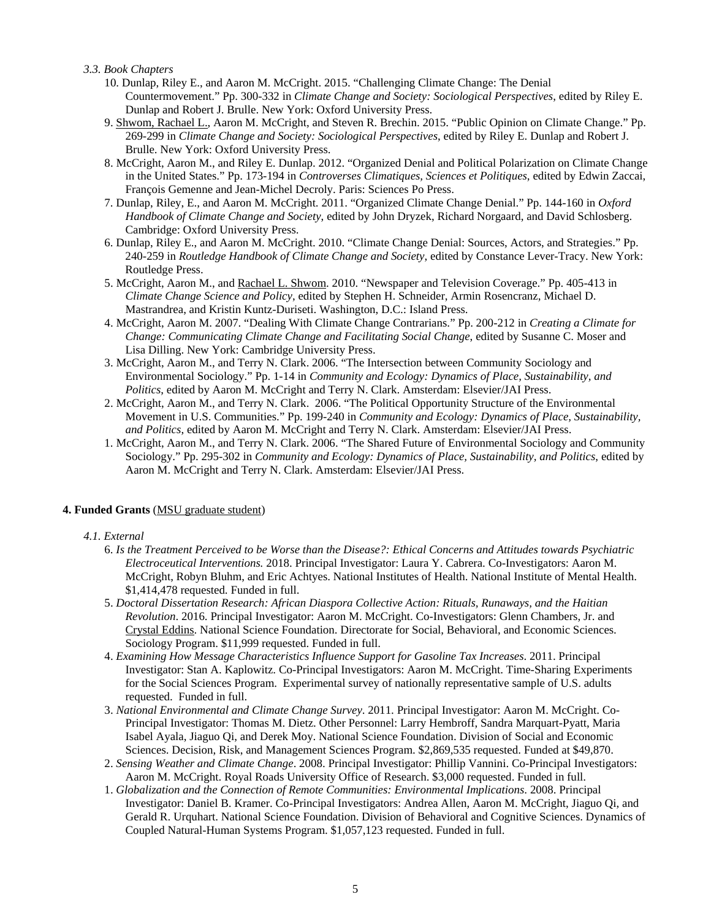*3.3. Book Chapters*

- 10. Dunlap, Riley E., and Aaron M. McCright. 2015. "Challenging Climate Change: The Denial Countermovement." Pp. 300-332 in *Climate Change and Society: Sociological Perspectives*, edited by Riley E. Dunlap and Robert J. Brulle. New York: Oxford University Press.
- 9. Shwom, Rachael L., Aaron M. McCright, and Steven R. Brechin. 2015. "Public Opinion on Climate Change." Pp. 269-299 in *Climate Change and Society: Sociological Perspectives*, edited by Riley E. Dunlap and Robert J. Brulle. New York: Oxford University Press.
- 8. McCright, Aaron M., and Riley E. Dunlap. 2012. "Organized Denial and Political Polarization on Climate Change in the United States." Pp. 173-194 in *Controverses Climatiques, Sciences et Politiques*, edited by Edwin Zaccai, François Gemenne and Jean-Michel Decroly. Paris: Sciences Po Press.
- 7. Dunlap, Riley, E., and Aaron M. McCright. 2011. "Organized Climate Change Denial." Pp. 144-160 in *Oxford Handbook of Climate Change and Society*, edited by John Dryzek, Richard Norgaard, and David Schlosberg. Cambridge: Oxford University Press.
- 6. Dunlap, Riley E., and Aaron M. McCright. 2010. "Climate Change Denial: Sources, Actors, and Strategies." Pp. 240-259 in *Routledge Handbook of Climate Change and Society*, edited by Constance Lever-Tracy. New York: Routledge Press.
- 5. McCright, Aaron M., and Rachael L. Shwom. 2010. "Newspaper and Television Coverage." Pp. 405-413 in *Climate Change Science and Policy*, edited by Stephen H. Schneider, Armin Rosencranz, Michael D. Mastrandrea, and Kristin Kuntz-Duriseti. Washington, D.C.: Island Press.
- 4. McCright, Aaron M. 2007. "Dealing With Climate Change Contrarians." Pp. 200-212 in *Creating a Climate for Change: Communicating Climate Change and Facilitating Social Change*, edited by Susanne C. Moser and Lisa Dilling. New York: Cambridge University Press.
- 3. McCright, Aaron M., and Terry N. Clark. 2006. "The Intersection between Community Sociology and Environmental Sociology." Pp. 1-14 in *Community and Ecology: Dynamics of Place, Sustainability, and Politics*, edited by Aaron M. McCright and Terry N. Clark. Amsterdam: Elsevier/JAI Press.
- 2. McCright, Aaron M., and Terry N. Clark. 2006. "The Political Opportunity Structure of the Environmental Movement in U.S. Communities." Pp. 199-240 in *Community and Ecology: Dynamics of Place, Sustainability, and Politics*, edited by Aaron M. McCright and Terry N. Clark. Amsterdam: Elsevier/JAI Press.
- 1. McCright, Aaron M., and Terry N. Clark. 2006. "The Shared Future of Environmental Sociology and Community Sociology." Pp. 295-302 in *Community and Ecology: Dynamics of Place, Sustainability, and Politics*, edited by Aaron M. McCright and Terry N. Clark. Amsterdam: Elsevier/JAI Press.

# **4. Funded Grants** (MSU graduate student)

# *4.1. External*

- 6. *Is the Treatment Perceived to be Worse than the Disease?: Ethical Concerns and Attitudes towards Psychiatric Electroceutical Interventions.* 2018. Principal Investigator: Laura Y. Cabrera. Co-Investigators: Aaron M. McCright, Robyn Bluhm, and Eric Achtyes. National Institutes of Health. National Institute of Mental Health. \$1,414,478 requested. Funded in full.
- 5. *Doctoral Dissertation Research: African Diaspora Collective Action: Rituals, Runaways, and the Haitian Revolution*. 2016. Principal Investigator: Aaron M. McCright. Co-Investigators: Glenn Chambers, Jr. and Crystal Eddins. National Science Foundation. Directorate for Social, Behavioral, and Economic Sciences. Sociology Program. \$11,999 requested. Funded in full.
- 4. *Examining How Message Characteristics Influence Support for Gasoline Tax Increases*. 2011. Principal Investigator: Stan A. Kaplowitz. Co-Principal Investigators: Aaron M. McCright. Time-Sharing Experiments for the Social Sciences Program. Experimental survey of nationally representative sample of U.S. adults requested. Funded in full.
- 3. *National Environmental and Climate Change Survey*. 2011. Principal Investigator: Aaron M. McCright. Co-Principal Investigator: Thomas M. Dietz. Other Personnel: Larry Hembroff, Sandra Marquart-Pyatt, Maria Isabel Ayala, Jiaguo Qi, and Derek Moy. National Science Foundation. Division of Social and Economic Sciences. Decision, Risk, and Management Sciences Program. \$2,869,535 requested. Funded at \$49,870.
- 2. *Sensing Weather and Climate Change*. 2008. Principal Investigator: Phillip Vannini. Co-Principal Investigators: Aaron M. McCright. Royal Roads University Office of Research. \$3,000 requested. Funded in full.
- 1. *Globalization and the Connection of Remote Communities: Environmental Implications*. 2008. Principal Investigator: Daniel B. Kramer. Co-Principal Investigators: Andrea Allen, Aaron M. McCright, Jiaguo Qi, and Gerald R. Urquhart. National Science Foundation. Division of Behavioral and Cognitive Sciences. Dynamics of Coupled Natural-Human Systems Program. \$1,057,123 requested. Funded in full.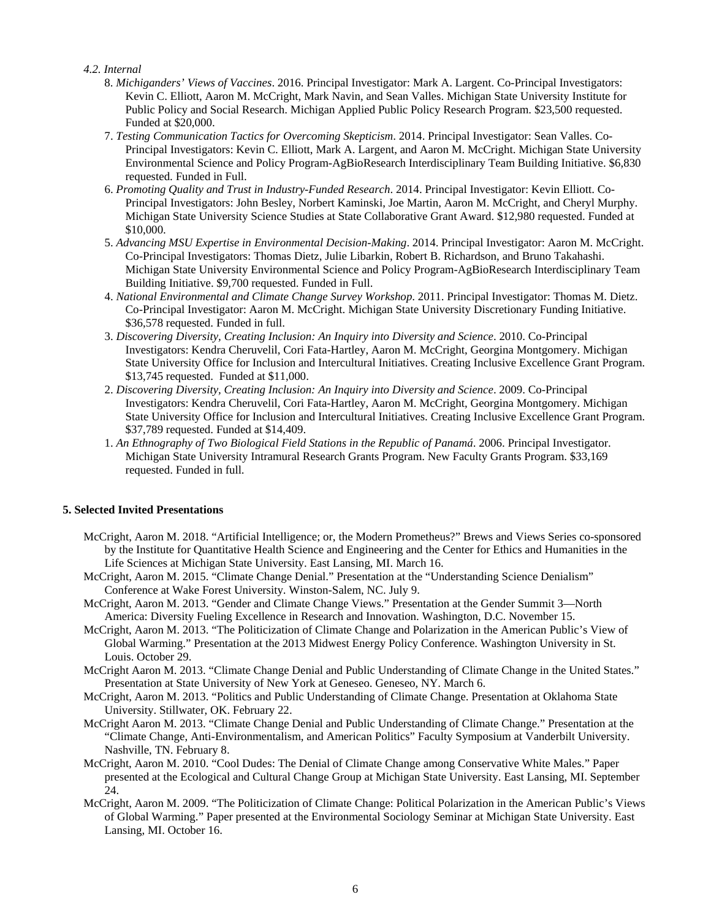## *4.2. Internal*

- 8. *Michiganders' Views of Vaccines*. 2016. Principal Investigator: Mark A. Largent. Co-Principal Investigators: Kevin C. Elliott, Aaron M. McCright, Mark Navin, and Sean Valles. Michigan State University Institute for Public Policy and Social Research. Michigan Applied Public Policy Research Program. \$23,500 requested. Funded at \$20,000.
- 7. *Testing Communication Tactics for Overcoming Skepticism*. 2014. Principal Investigator: Sean Valles. Co-Principal Investigators: Kevin C. Elliott, Mark A. Largent, and Aaron M. McCright. Michigan State University Environmental Science and Policy Program-AgBioResearch Interdisciplinary Team Building Initiative. \$6,830 requested. Funded in Full.
- 6. *Promoting Quality and Trust in Industry-Funded Research*. 2014. Principal Investigator: Kevin Elliott. Co-Principal Investigators: John Besley, Norbert Kaminski, Joe Martin, Aaron M. McCright, and Cheryl Murphy. Michigan State University Science Studies at State Collaborative Grant Award. \$12,980 requested. Funded at \$10,000.
- 5. *Advancing MSU Expertise in Environmental Decision-Making*. 2014. Principal Investigator: Aaron M. McCright. Co-Principal Investigators: Thomas Dietz, Julie Libarkin, Robert B. Richardson, and Bruno Takahashi. Michigan State University Environmental Science and Policy Program-AgBioResearch Interdisciplinary Team Building Initiative. \$9,700 requested. Funded in Full.
- 4. *National Environmental and Climate Change Survey Workshop*. 2011. Principal Investigator: Thomas M. Dietz. Co-Principal Investigator: Aaron M. McCright. Michigan State University Discretionary Funding Initiative. \$36,578 requested. Funded in full.
- 3. *Discovering Diversity, Creating Inclusion: An Inquiry into Diversity and Science*. 2010. Co-Principal Investigators: Kendra Cheruvelil, Cori Fata-Hartley, Aaron M. McCright, Georgina Montgomery. Michigan State University Office for Inclusion and Intercultural Initiatives. Creating Inclusive Excellence Grant Program. \$13,745 requested. Funded at \$11,000.
- 2. *Discovering Diversity, Creating Inclusion: An Inquiry into Diversity and Science*. 2009. Co-Principal Investigators: Kendra Cheruvelil, Cori Fata-Hartley, Aaron M. McCright, Georgina Montgomery. Michigan State University Office for Inclusion and Intercultural Initiatives. Creating Inclusive Excellence Grant Program. \$37,789 requested. Funded at \$14,409.
- 1. *An Ethnography of Two Biological Field Stations in the Republic of Panamá*. 2006. Principal Investigator. Michigan State University Intramural Research Grants Program. New Faculty Grants Program. \$33,169 requested. Funded in full.

# **5. Selected Invited Presentations**

- McCright, Aaron M. 2018. "Artificial Intelligence; or, the Modern Prometheus?" Brews and Views Series co-sponsored by the Institute for Quantitative Health Science and Engineering and the Center for Ethics and Humanities in the Life Sciences at Michigan State University. East Lansing, MI. March 16.
- McCright, Aaron M. 2015. "Climate Change Denial." Presentation at the "Understanding Science Denialism" Conference at Wake Forest University. Winston-Salem, NC. July 9.
- McCright, Aaron M. 2013. "Gender and Climate Change Views." Presentation at the Gender Summit 3—North America: Diversity Fueling Excellence in Research and Innovation. Washington, D.C. November 15.
- McCright, Aaron M. 2013. "The Politicization of Climate Change and Polarization in the American Public's View of Global Warming." Presentation at the 2013 Midwest Energy Policy Conference. Washington University in St. Louis. October 29.
- McCright Aaron M. 2013. "Climate Change Denial and Public Understanding of Climate Change in the United States." Presentation at State University of New York at Geneseo. Geneseo, NY. March 6.
- McCright, Aaron M. 2013. "Politics and Public Understanding of Climate Change. Presentation at Oklahoma State University. Stillwater, OK. February 22.
- McCright Aaron M. 2013. "Climate Change Denial and Public Understanding of Climate Change." Presentation at the "Climate Change, Anti-Environmentalism, and American Politics" Faculty Symposium at Vanderbilt University. Nashville, TN. February 8.
- McCright, Aaron M. 2010. "Cool Dudes: The Denial of Climate Change among Conservative White Males." Paper presented at the Ecological and Cultural Change Group at Michigan State University. East Lansing, MI. September 24.
- McCright, Aaron M. 2009. "The Politicization of Climate Change: Political Polarization in the American Public's Views of Global Warming." Paper presented at the Environmental Sociology Seminar at Michigan State University. East Lansing, MI. October 16.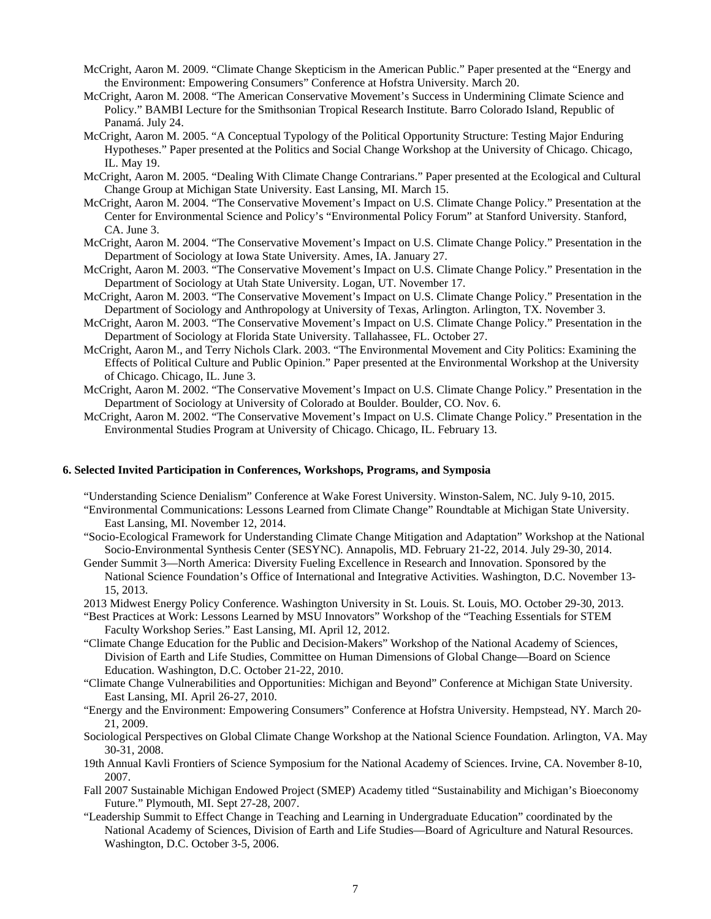- McCright, Aaron M. 2009. "Climate Change Skepticism in the American Public." Paper presented at the "Energy and the Environment: Empowering Consumers" Conference at Hofstra University. March 20.
- McCright, Aaron M. 2008. "The American Conservative Movement's Success in Undermining Climate Science and Policy." BAMBI Lecture for the Smithsonian Tropical Research Institute. Barro Colorado Island, Republic of Panamá. July 24.
- McCright, Aaron M. 2005. "A Conceptual Typology of the Political Opportunity Structure: Testing Major Enduring Hypotheses." Paper presented at the Politics and Social Change Workshop at the University of Chicago. Chicago, IL. May 19.
- McCright, Aaron M. 2005. "Dealing With Climate Change Contrarians." Paper presented at the Ecological and Cultural Change Group at Michigan State University. East Lansing, MI. March 15.
- McCright, Aaron M. 2004. "The Conservative Movement's Impact on U.S. Climate Change Policy." Presentation at the Center for Environmental Science and Policy's "Environmental Policy Forum" at Stanford University. Stanford, CA. June 3.
- McCright, Aaron M. 2004. "The Conservative Movement's Impact on U.S. Climate Change Policy." Presentation in the Department of Sociology at Iowa State University. Ames, IA. January 27.
- McCright, Aaron M. 2003. "The Conservative Movement's Impact on U.S. Climate Change Policy." Presentation in the Department of Sociology at Utah State University. Logan, UT. November 17.
- McCright, Aaron M. 2003. "The Conservative Movement's Impact on U.S. Climate Change Policy." Presentation in the Department of Sociology and Anthropology at University of Texas, Arlington. Arlington, TX. November 3.
- McCright, Aaron M. 2003. "The Conservative Movement's Impact on U.S. Climate Change Policy." Presentation in the Department of Sociology at Florida State University. Tallahassee, FL. October 27.
- McCright, Aaron M., and Terry Nichols Clark. 2003. "The Environmental Movement and City Politics: Examining the Effects of Political Culture and Public Opinion." Paper presented at the Environmental Workshop at the University of Chicago. Chicago, IL. June 3.
- McCright, Aaron M. 2002. "The Conservative Movement's Impact on U.S. Climate Change Policy." Presentation in the Department of Sociology at University of Colorado at Boulder. Boulder, CO. Nov. 6.
- McCright, Aaron M. 2002. "The Conservative Movement's Impact on U.S. Climate Change Policy." Presentation in the Environmental Studies Program at University of Chicago. Chicago, IL. February 13.

#### **6. Selected Invited Participation in Conferences, Workshops, Programs, and Symposia**

"Understanding Science Denialism" Conference at Wake Forest University. Winston-Salem, NC. July 9-10, 2015.

- "Environmental Communications: Lessons Learned from Climate Change" Roundtable at Michigan State University. East Lansing, MI. November 12, 2014.
- "Socio-Ecological Framework for Understanding Climate Change Mitigation and Adaptation" Workshop at the National Socio-Environmental Synthesis Center (SESYNC). Annapolis, MD. February 21-22, 2014. July 29-30, 2014.
- Gender Summit 3—North America: Diversity Fueling Excellence in Research and Innovation. Sponsored by the National Science Foundation's Office of International and Integrative Activities. Washington, D.C. November 13- 15, 2013.
- 2013 Midwest Energy Policy Conference. Washington University in St. Louis. St. Louis, MO. October 29-30, 2013.
- "Best Practices at Work: Lessons Learned by MSU Innovators" Workshop of the "Teaching Essentials for STEM Faculty Workshop Series." East Lansing, MI. April 12, 2012.
- "Climate Change Education for the Public and Decision-Makers" Workshop of the National Academy of Sciences, Division of Earth and Life Studies, Committee on Human Dimensions of Global Change—Board on Science Education. Washington, D.C. October 21-22, 2010.
- "Climate Change Vulnerabilities and Opportunities: Michigan and Beyond" Conference at Michigan State University. East Lansing, MI. April 26-27, 2010.
- "Energy and the Environment: Empowering Consumers" Conference at Hofstra University. Hempstead, NY. March 20- 21, 2009.
- Sociological Perspectives on Global Climate Change Workshop at the National Science Foundation. Arlington, VA. May 30-31, 2008.
- 19th Annual Kavli Frontiers of Science Symposium for the National Academy of Sciences. Irvine, CA. November 8-10, 2007.
- Fall 2007 Sustainable Michigan Endowed Project (SMEP) Academy titled "Sustainability and Michigan's Bioeconomy Future." Plymouth, MI. Sept 27-28, 2007.
- "Leadership Summit to Effect Change in Teaching and Learning in Undergraduate Education" coordinated by the National Academy of Sciences, Division of Earth and Life Studies—Board of Agriculture and Natural Resources. Washington, D.C. October 3-5, 2006.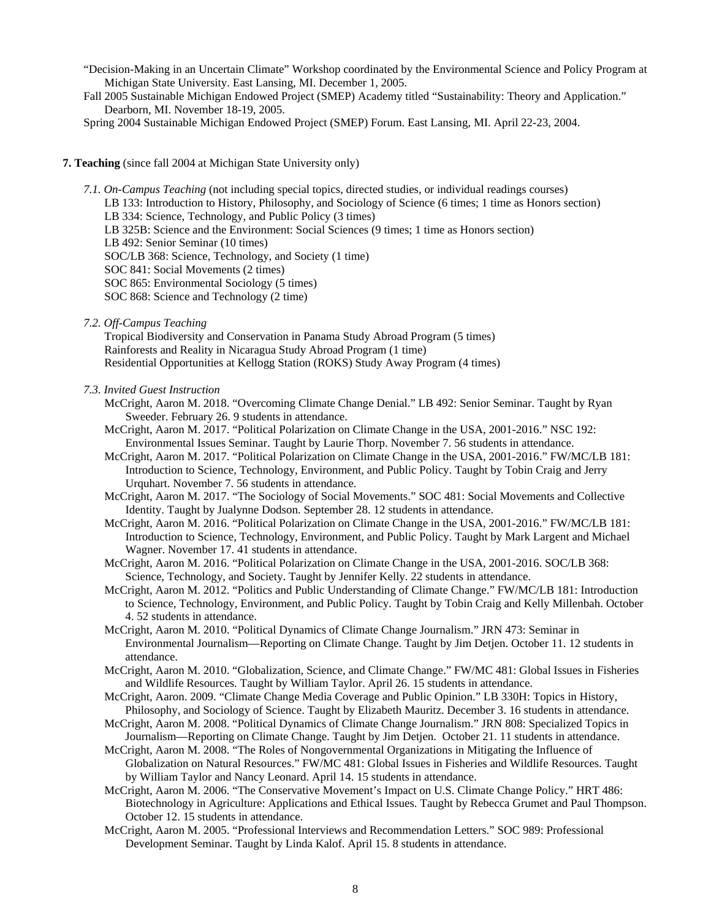- "Decision-Making in an Uncertain Climate" Workshop coordinated by the Environmental Science and Policy Program at Michigan State University. East Lansing, MI. December 1, 2005.
- Fall 2005 Sustainable Michigan Endowed Project (SMEP) Academy titled "Sustainability: Theory and Application." Dearborn, MI. November 18-19, 2005.
- Spring 2004 Sustainable Michigan Endowed Project (SMEP) Forum. East Lansing, MI. April 22-23, 2004.

#### **7. Teaching** (since fall 2004 at Michigan State University only)

- *7.1. On-Campus Teaching* (not including special topics, directed studies, or individual readings courses) LB 133: Introduction to History, Philosophy, and Sociology of Science (6 times; 1 time as Honors section) LB 334: Science, Technology, and Public Policy (3 times) LB 325B: Science and the Environment: Social Sciences (9 times; 1 time as Honors section) LB 492: Senior Seminar (10 times) SOC/LB 368: Science, Technology, and Society (1 time) SOC 841: Social Movements (2 times) SOC 865: Environmental Sociology (5 times) SOC 868: Science and Technology (2 time) *7.2. Off-Campus Teaching*
	- Tropical Biodiversity and Conservation in Panama Study Abroad Program (5 times) Rainforests and Reality in Nicaragua Study Abroad Program (1 time) Residential Opportunities at Kellogg Station (ROKS) Study Away Program (4 times)

#### *7.3. Invited Guest Instruction*

- McCright, Aaron M. 2018. "Overcoming Climate Change Denial." LB 492: Senior Seminar. Taught by Ryan Sweeder. February 26. 9 students in attendance.
- McCright, Aaron M. 2017. "Political Polarization on Climate Change in the USA, 2001-2016." NSC 192: Environmental Issues Seminar. Taught by Laurie Thorp. November 7. 56 students in attendance.
- McCright, Aaron M. 2017. "Political Polarization on Climate Change in the USA, 2001-2016." FW/MC/LB 181: Introduction to Science, Technology, Environment, and Public Policy. Taught by Tobin Craig and Jerry Urquhart. November 7. 56 students in attendance.
- McCright, Aaron M. 2017. "The Sociology of Social Movements." SOC 481: Social Movements and Collective Identity. Taught by Jualynne Dodson. September 28. 12 students in attendance.
- McCright, Aaron M. 2016. "Political Polarization on Climate Change in the USA, 2001-2016." FW/MC/LB 181: Introduction to Science, Technology, Environment, and Public Policy. Taught by Mark Largent and Michael Wagner. November 17. 41 students in attendance.
- McCright, Aaron M. 2016. "Political Polarization on Climate Change in the USA, 2001-2016. SOC/LB 368: Science, Technology, and Society. Taught by Jennifer Kelly. 22 students in attendance.
- McCright, Aaron M. 2012. "Politics and Public Understanding of Climate Change." FW/MC/LB 181: Introduction to Science, Technology, Environment, and Public Policy. Taught by Tobin Craig and Kelly Millenbah. October 4. 52 students in attendance.
- McCright, Aaron M. 2010. "Political Dynamics of Climate Change Journalism." JRN 473: Seminar in Environmental Journalism—Reporting on Climate Change. Taught by Jim Detjen. October 11. 12 students in attendance.
- McCright, Aaron M. 2010. "Globalization, Science, and Climate Change." FW/MC 481: Global Issues in Fisheries and Wildlife Resources. Taught by William Taylor. April 26. 15 students in attendance.
- McCright, Aaron. 2009. "Climate Change Media Coverage and Public Opinion." LB 330H: Topics in History, Philosophy, and Sociology of Science. Taught by Elizabeth Mauritz. December 3. 16 students in attendance.
- McCright, Aaron M. 2008. "Political Dynamics of Climate Change Journalism." JRN 808: Specialized Topics in Journalism—Reporting on Climate Change. Taught by Jim Detjen. October 21. 11 students in attendance.
- McCright, Aaron M. 2008. "The Roles of Nongovernmental Organizations in Mitigating the Influence of Globalization on Natural Resources." FW/MC 481: Global Issues in Fisheries and Wildlife Resources. Taught by William Taylor and Nancy Leonard. April 14. 15 students in attendance.
- McCright, Aaron M. 2006. "The Conservative Movement's Impact on U.S. Climate Change Policy." HRT 486: Biotechnology in Agriculture: Applications and Ethical Issues. Taught by Rebecca Grumet and Paul Thompson. October 12. 15 students in attendance.
- McCright, Aaron M. 2005. "Professional Interviews and Recommendation Letters." SOC 989: Professional Development Seminar. Taught by Linda Kalof. April 15. 8 students in attendance.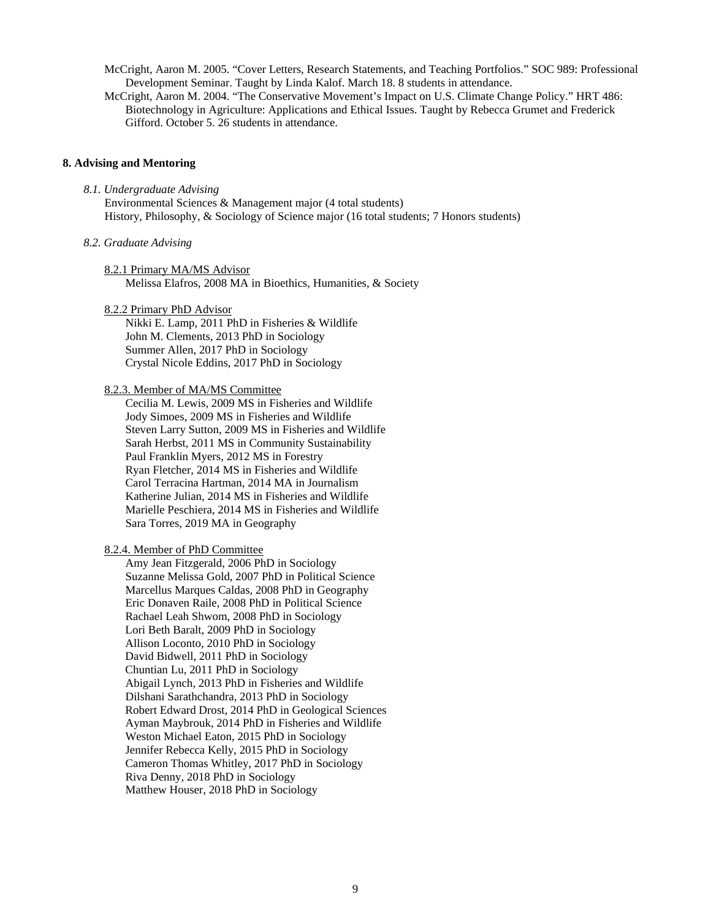McCright, Aaron M. 2005. "Cover Letters, Research Statements, and Teaching Portfolios." SOC 989: Professional Development Seminar. Taught by Linda Kalof. March 18. 8 students in attendance.

McCright, Aaron M. 2004. "The Conservative Movement's Impact on U.S. Climate Change Policy." HRT 486: Biotechnology in Agriculture: Applications and Ethical Issues. Taught by Rebecca Grumet and Frederick Gifford. October 5. 26 students in attendance.

#### **8. Advising and Mentoring**

*8.1. Undergraduate Advising* Environmental Sciences & Management major (4 total students) History, Philosophy, & Sociology of Science major (16 total students; 7 Honors students)

#### *8.2. Graduate Advising*

8.2.1 Primary MA/MS Advisor

Melissa Elafros, 2008 MA in Bioethics, Humanities, & Society

#### 8.2.2 Primary PhD Advisor

Nikki E. Lamp, 2011 PhD in Fisheries & Wildlife John M. Clements, 2013 PhD in Sociology Summer Allen, 2017 PhD in Sociology Crystal Nicole Eddins, 2017 PhD in Sociology

# 8.2.3. Member of MA/MS Committee

Cecilia M. Lewis, 2009 MS in Fisheries and Wildlife Jody Simoes, 2009 MS in Fisheries and Wildlife Steven Larry Sutton, 2009 MS in Fisheries and Wildlife Sarah Herbst, 2011 MS in Community Sustainability Paul Franklin Myers, 2012 MS in Forestry Ryan Fletcher, 2014 MS in Fisheries and Wildlife Carol Terracina Hartman, 2014 MA in Journalism Katherine Julian, 2014 MS in Fisheries and Wildlife Marielle Peschiera, 2014 MS in Fisheries and Wildlife Sara Torres, 2019 MA in Geography

## 8.2.4. Member of PhD Committee

Amy Jean Fitzgerald, 2006 PhD in Sociology Suzanne Melissa Gold, 2007 PhD in Political Science Marcellus Marques Caldas, 2008 PhD in Geography Eric Donaven Raile, 2008 PhD in Political Science Rachael Leah Shwom, 2008 PhD in Sociology Lori Beth Baralt, 2009 PhD in Sociology Allison Loconto, 2010 PhD in Sociology David Bidwell, 2011 PhD in Sociology Chuntian Lu, 2011 PhD in Sociology Abigail Lynch, 2013 PhD in Fisheries and Wildlife Dilshani Sarathchandra, 2013 PhD in Sociology Robert Edward Drost, 2014 PhD in Geological Sciences Ayman Maybrouk, 2014 PhD in Fisheries and Wildlife Weston Michael Eaton, 2015 PhD in Sociology Jennifer Rebecca Kelly, 2015 PhD in Sociology Cameron Thomas Whitley, 2017 PhD in Sociology Riva Denny, 2018 PhD in Sociology Matthew Houser, 2018 PhD in Sociology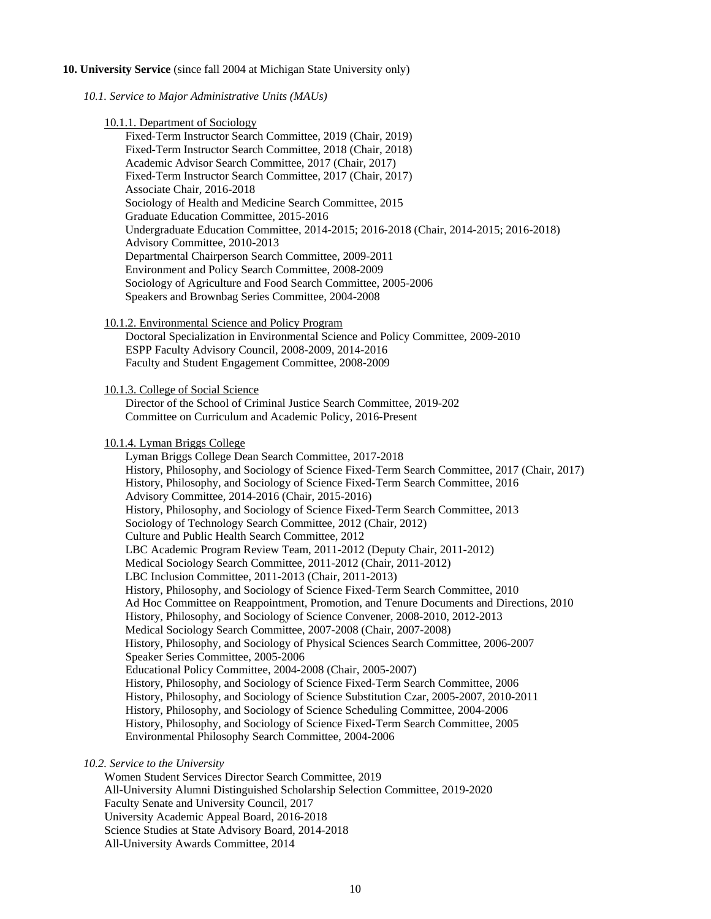# **10. University Service** (since fall 2004 at Michigan State University only)

*10.1. Service to Major Administrative Units (MAUs)*

| 10.1.1. Department of Sociology                                                               |
|-----------------------------------------------------------------------------------------------|
| Fixed-Term Instructor Search Committee, 2019 (Chair, 2019)                                    |
| Fixed-Term Instructor Search Committee, 2018 (Chair, 2018)                                    |
| Academic Advisor Search Committee, 2017 (Chair, 2017)                                         |
| Fixed-Term Instructor Search Committee, 2017 (Chair, 2017)                                    |
| Associate Chair, 2016-2018                                                                    |
| Sociology of Health and Medicine Search Committee, 2015                                       |
| Graduate Education Committee, 2015-2016                                                       |
| Undergraduate Education Committee, 2014-2015; 2016-2018 (Chair, 2014-2015; 2016-2018)         |
| Advisory Committee, 2010-2013                                                                 |
| Departmental Chairperson Search Committee, 2009-2011                                          |
| Environment and Policy Search Committee, 2008-2009                                            |
| Sociology of Agriculture and Food Search Committee, 2005-2006                                 |
| Speakers and Brownbag Series Committee, 2004-2008                                             |
|                                                                                               |
| 10.1.2. Environmental Science and Policy Program                                              |
| Doctoral Specialization in Environmental Science and Policy Committee, 2009-2010              |
| ESPP Faculty Advisory Council, 2008-2009, 2014-2016                                           |
| Faculty and Student Engagement Committee, 2008-2009                                           |
|                                                                                               |
| 10.1.3. College of Social Science                                                             |
| Director of the School of Criminal Justice Search Committee, 2019-202                         |
| Committee on Curriculum and Academic Policy, 2016-Present                                     |
|                                                                                               |
| 10.1.4. Lyman Briggs College                                                                  |
|                                                                                               |
|                                                                                               |
| Lyman Briggs College Dean Search Committee, 2017-2018                                         |
| History, Philosophy, and Sociology of Science Fixed-Term Search Committee, 2017 (Chair, 2017) |
| History, Philosophy, and Sociology of Science Fixed-Term Search Committee, 2016               |
| Advisory Committee, 2014-2016 (Chair, 2015-2016)                                              |
| History, Philosophy, and Sociology of Science Fixed-Term Search Committee, 2013               |
| Sociology of Technology Search Committee, 2012 (Chair, 2012)                                  |
| Culture and Public Health Search Committee, 2012                                              |
| LBC Academic Program Review Team, 2011-2012 (Deputy Chair, 2011-2012)                         |
| Medical Sociology Search Committee, 2011-2012 (Chair, 2011-2012)                              |
| LBC Inclusion Committee, 2011-2013 (Chair, 2011-2013)                                         |
| History, Philosophy, and Sociology of Science Fixed-Term Search Committee, 2010               |
| Ad Hoc Committee on Reappointment, Promotion, and Tenure Documents and Directions, 2010       |
| History, Philosophy, and Sociology of Science Convener, 2008-2010, 2012-2013                  |
| Medical Sociology Search Committee, 2007-2008 (Chair, 2007-2008)                              |
| History, Philosophy, and Sociology of Physical Sciences Search Committee, 2006-2007           |
| Speaker Series Committee, 2005-2006                                                           |
| Educational Policy Committee, 2004-2008 (Chair, 2005-2007)                                    |
| History, Philosophy, and Sociology of Science Fixed-Term Search Committee, 2006               |
| History, Philosophy, and Sociology of Science Substitution Czar, 2005-2007, 2010-2011         |
| History, Philosophy, and Sociology of Science Scheduling Committee, 2004-2006                 |
| History, Philosophy, and Sociology of Science Fixed-Term Search Committee, 2005               |
| Environmental Philosophy Search Committee, 2004-2006                                          |
| 10.2. Service to the University                                                               |

Women Student Services Director Search Committee, 2019 All-University Alumni Distinguished Scholarship Selection Committee, 2019-2020 Faculty Senate and University Council, 2017 University Academic Appeal Board, 2016-2018 Science Studies at State Advisory Board, 2014-2018 All-University Awards Committee, 2014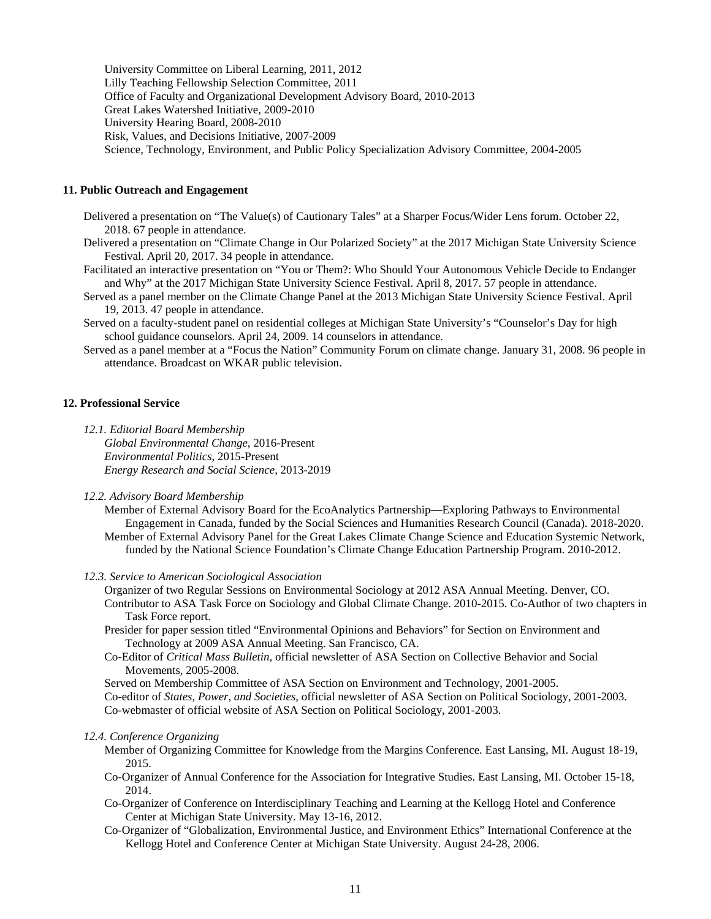University Committee on Liberal Learning, 2011, 2012 Lilly Teaching Fellowship Selection Committee, 2011 Office of Faculty and Organizational Development Advisory Board, 2010-2013 Great Lakes Watershed Initiative, 2009-2010 University Hearing Board, 2008-2010 Risk, Values, and Decisions Initiative, 2007-2009 Science, Technology, Environment, and Public Policy Specialization Advisory Committee, 2004-2005

# **11. Public Outreach and Engagement**

- Delivered a presentation on "The Value(s) of Cautionary Tales" at a Sharper Focus/Wider Lens forum. October 22, 2018. 67 people in attendance.
- Delivered a presentation on "Climate Change in Our Polarized Society" at the 2017 Michigan State University Science Festival. April 20, 2017. 34 people in attendance.
- Facilitated an interactive presentation on "You or Them?: Who Should Your Autonomous Vehicle Decide to Endanger and Why" at the 2017 Michigan State University Science Festival. April 8, 2017. 57 people in attendance.
- Served as a panel member on the Climate Change Panel at the 2013 Michigan State University Science Festival. April 19, 2013. 47 people in attendance.
- Served on a faculty-student panel on residential colleges at Michigan State University's "Counselor's Day for high school guidance counselors. April 24, 2009. 14 counselors in attendance.
- Served as a panel member at a "Focus the Nation" Community Forum on climate change. January 31, 2008. 96 people in attendance. Broadcast on WKAR public television.

## **12. Professional Service**

*12.1. Editorial Board Membership*

*Global Environmental Change*, 2016-Present *Environmental Politics*, 2015-Present *Energy Research and Social Science*, 2013-2019

*12.2. Advisory Board Membership*

Member of External Advisory Board for the EcoAnalytics Partnership—Exploring Pathways to Environmental Engagement in Canada, funded by the Social Sciences and Humanities Research Council (Canada). 2018-2020. Member of External Advisory Panel for the Great Lakes Climate Change Science and Education Systemic Network, funded by the National Science Foundation's Climate Change Education Partnership Program. 2010-2012.

*12.3. Service to American Sociological Association*

Organizer of two Regular Sessions on Environmental Sociology at 2012 ASA Annual Meeting. Denver, CO. Contributor to ASA Task Force on Sociology and Global Climate Change. 2010-2015. Co-Author of two chapters in Task Force report.

- Presider for paper session titled "Environmental Opinions and Behaviors" for Section on Environment and Technology at 2009 ASA Annual Meeting. San Francisco, CA.
- Co-Editor of *Critical Mass Bulletin*, official newsletter of ASA Section on Collective Behavior and Social Movements, 2005-2008.

Served on Membership Committee of ASA Section on Environment and Technology, 2001-2005. Co-editor of *States, Power, and Societies*, official newsletter of ASA Section on Political Sociology, 2001-2003. Co-webmaster of official website of ASA Section on Political Sociology, 2001-2003.

#### *12.4. Conference Organizing*

- Member of Organizing Committee for Knowledge from the Margins Conference. East Lansing, MI. August 18-19, 2015.
- Co-Organizer of Annual Conference for the Association for Integrative Studies. East Lansing, MI. October 15-18, 2014.
- Co-Organizer of Conference on Interdisciplinary Teaching and Learning at the Kellogg Hotel and Conference Center at Michigan State University. May 13-16, 2012.
- Co-Organizer of "Globalization, Environmental Justice, and Environment Ethics" International Conference at the Kellogg Hotel and Conference Center at Michigan State University. August 24-28, 2006.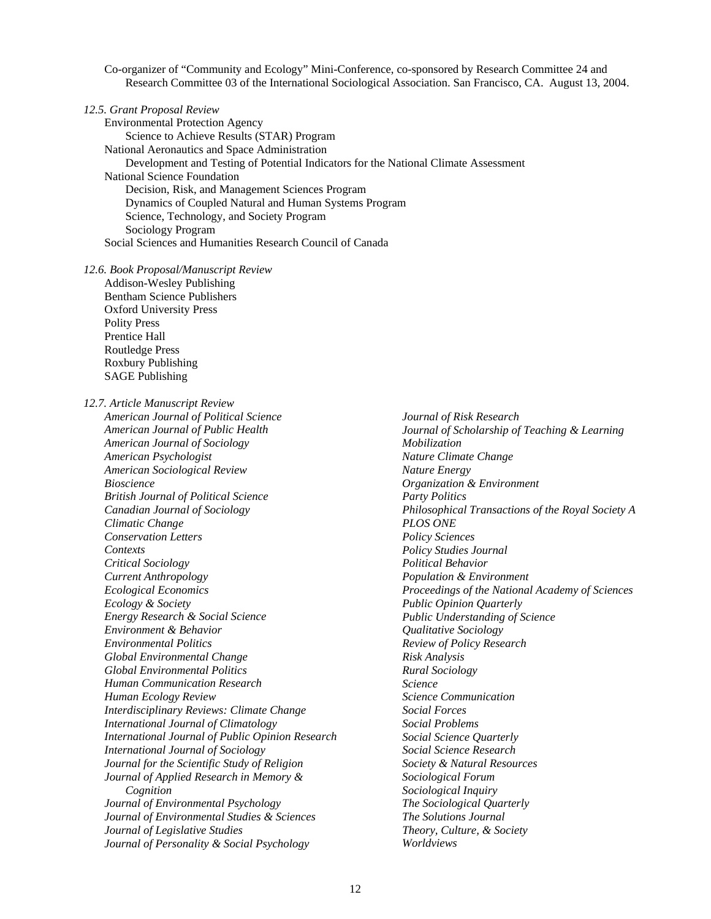Co-organizer of "Community and Ecology" Mini-Conference, co-sponsored by Research Committee 24 and Research Committee 03 of the International Sociological Association. San Francisco, CA. August 13, 2004.

|  |  | 12.5. Grant Proposal Review |  |
|--|--|-----------------------------|--|
|--|--|-----------------------------|--|

Environmental Protection Agency Science to Achieve Results (STAR) Program National Aeronautics and Space Administration Development and Testing of Potential Indicators for the National Climate Assessment National Science Foundation Decision, Risk, and Management Sciences Program Dynamics of Coupled Natural and Human Systems Program Science, Technology, and Society Program Sociology Program Social Sciences and Humanities Research Council of Canada

*12.6. Book Proposal/Manuscript Review* Addison-Wesley Publishing Bentham Science Publishers

Oxford University Press Polity Press Prentice Hall Routledge Press Roxbury Publishing SAGE Publishing

*12.7. Article Manuscript Review*

*American Journal of Political Science American Journal of Public Health American Journal of Sociology American Psychologist American Sociological Review Bioscience British Journal of Political Science Canadian Journal of Sociology Climatic Change Conservation Letters Contexts Critical Sociology Current Anthropology Ecological Economics Ecology & Society Energy Research & Social Science Environment & Behavior Environmental Politics Global Environmental Change Global Environmental Politics Human Communication Research Human Ecology Review Interdisciplinary Reviews: Climate Change International Journal of Climatology International Journal of Public Opinion Research International Journal of Sociology Journal for the Scientific Study of Religion Journal of Applied Research in Memory & Cognition Journal of Environmental Psychology Journal of Environmental Studies & Sciences Journal of Legislative Studies Journal of Personality & Social Psychology*

*Journal of Risk Research Journal of Scholarship of Teaching & Learning Mobilization Nature Climate Change Nature Energy Organization & Environment Party Politics Philosophical Transactions of the Royal Society A PLOS ONE Policy Sciences Policy Studies Journal Political Behavior Population & Environment Proceedings of the National Academy of Sciences Public Opinion Quarterly Public Understanding of Science Qualitative Sociology Review of Policy Research Risk Analysis Rural Sociology Science Science Communication Social Forces Social Problems Social Science Quarterly Social Science Research Society & Natural Resources Sociological Forum Sociological Inquiry The Sociological Quarterly The Solutions Journal Theory, Culture, & Society Worldviews*